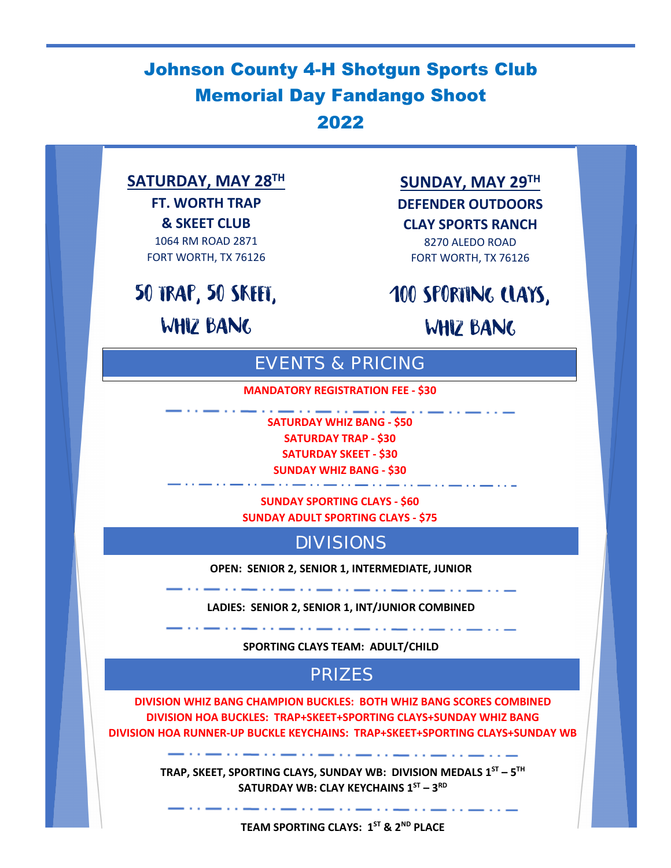# Johnson County 4-H Shotgun Sports Club Memorial Day Fandango Shoot 2022

# **SATURDAY, MAY 28TH**

**FT. WORTH TRAP & SKEET CLUB** 1064 RM ROAD 2871 FORT WORTH, TX 76126

50 TRAP, 50 SKEET,

WHIZ BANG

### **SUNDAY, MAY 29TH**

**DEFENDER OUTDOORS**

**CLAY SPORTS RANCH** 8270 ALEDO ROAD

FORT WORTH, TX 76126

100 SPORTING CLAYS,

WHIZ BANG

# EVENTS & PRICING

**MANDATORY REGISTRATION FEE - \$30**

**SATURDAY WHIZ BANG - \$50 SATURDAY TRAP - \$30**

**SATURDAY SKEET - \$30**

**SUNDAY WHIZ BANG - \$30** والرابا والمستوات والمستورة والمستورة والمراسي

**SUNDAY SPORTING CLAYS - \$60 SUNDAY ADULT SPORTING CLAYS - \$75**

DIVISIONS

**OPEN: SENIOR 2, SENIOR 1, INTERMEDIATE, JUNIOR**

**LADIES: SENIOR 2, SENIOR 1, INT/JUNIOR COMBINED**

**SPORTING CLAYS TEAM: ADULT/CHILD**

### PRIZES

**DIVISION WHIZ BANG CHAMPION BUCKLES: BOTH WHIZ BANG SCORES COMBINED DIVISION HOA BUCKLES: TRAP+SKEET+SPORTING CLAYS+SUNDAY WHIZ BANG DIVISION HOA RUNNER-UP BUCKLE KEYCHAINS: TRAP+SKEET+SPORTING CLAYS+SUNDAY WB**

> **TRAP, SKEET, SPORTING CLAYS, SUNDAY WB: DIVISION MEDALS 1ST – 5TH SATURDAY WB: CLAY KEYCHAINS 1ST – 3RD**

> > **TEAM SPORTING CLAYS: 1ST & 2ND PLACE**

**The Community Community of the Community**